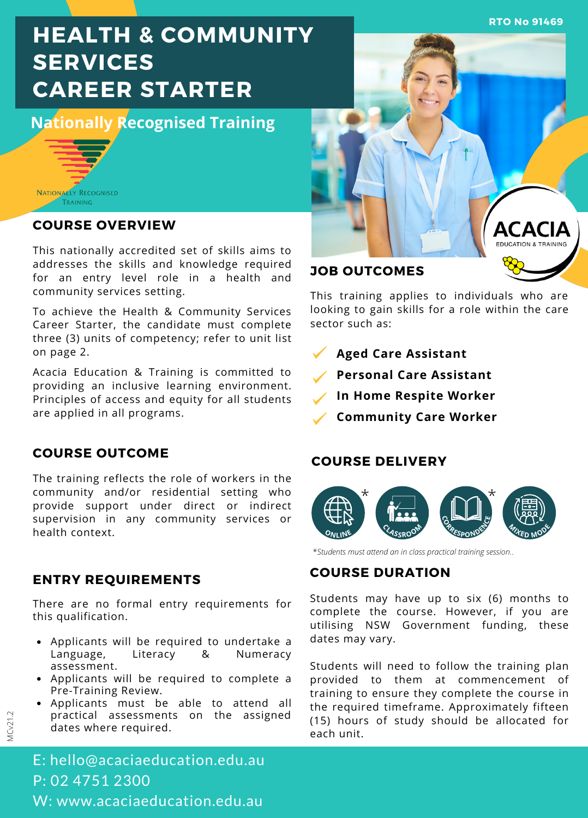# **HEALTH & COMMUNITY SERVICES CAREER STARTER**

**Nationally Recognised Training**



### **COURSE OVERVIEW**

This nationally accredited set of skills aims to addresses the skills and knowledge required for an entry level role in a health and community services setting.

To achieve the Health & Community Services Career Starter, the candidate must complete three (3) units of competency; refer to unit list on page 2.

Acacia Education & Training is committed to providing an inclusive learning environment. Principles of access and equity for all students are applied in all programs.

### **COURSE OUTCOME**

The training reflects the role of workers in the community and/or residential setting who provide support under direct or indirect supervision in any community services or health context.

### **ENTRY REQUIREMENTS**

There are no formal entry requirements for this qualification.

- Applicants will be required to undertake a Language, Literacy & Numeracy assessment.
- Applicants will be required to complete a Pre-Training Review.
- Applicants must be able to attend all practical assessments on the assigned dates where required.



**RTO No 91469**

## **JOB OUTCOMES**

This training applies to individuals who are looking to gain skills for a role within the care sector such as:

- **Aged Care Assistant**
- **Personal Care Assistant**
- **In Home Respite Worker**
- **Community Care Worker**

### **COURSE DELIVERY**



\**Students must attend an in class practical training session.*.

### **COURSE DURATION**

Students may have up to six (6) months to complete the course. However, if you are utilising NSW Government funding, these dates may vary.

Students will need to follow the training plan provided to them at commencement of training to ensure they complete the course in the required timeframe. Approximately fifteen (15) hours of study should be allocated for each unit.

E: hello@acaciaeducation.edu.au P: 02 4751 2300 W: www.acaciaeducation.edu.au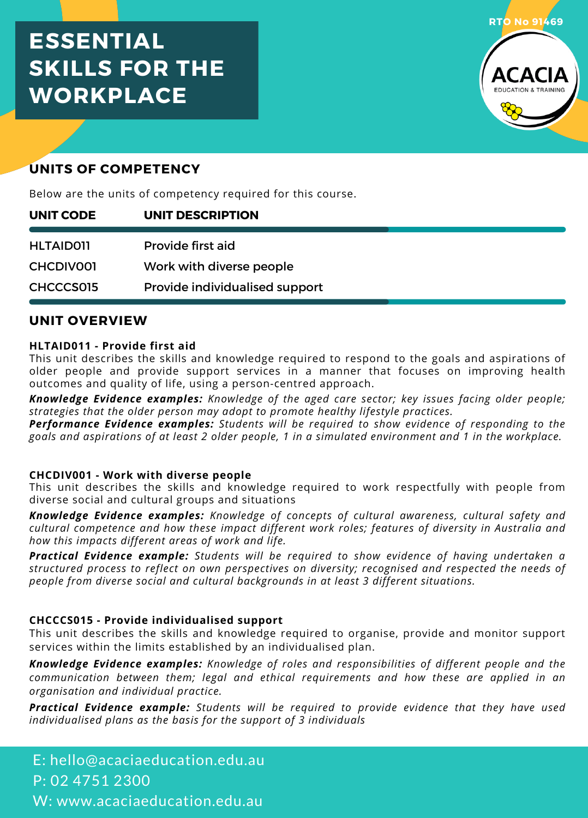## **ESSENTIAL SKILLS FOR THE WORKPLACE**



## **UNITS OF COMPETENCY**

Below are the units of competency required for this course.

| UNIT CODE        | UNIT DESCRIPTION               |  |
|------------------|--------------------------------|--|
| <b>HLTAID011</b> | Provide first aid              |  |
| <b>CHCDIVOOI</b> | Work with diverse people       |  |
| CHCCCS015        | Provide individualised support |  |

### **UNIT OVERVIEW**

### **HLTAID011 - Provide first aid**

This unit describes the skills and knowledge required to respond to the goals and aspirations of older people and provide support services in a manner that focuses on improving health outcomes and quality of life, using a person-centred approach.

*Knowledge Evidence examples: Knowledge of the aged care sector; key issues facing older people; strategies that the older person may adopt to promote healthy lifestyle practices.*

*Performance Evidence examples: Students will be required to show evidence of responding to the* goals and aspirations of at least 2 older people, 1 in a simulated environment and 1 in the workplace.

### **CHCDIV001 - Work with diverse people**

This unit describes the skills and knowledge required to work respectfully with people from diverse social and cultural groups and situations

*Knowledge Evidence examples: Knowledge of concepts of cultural awareness, cultural safety and cultural competence and how these impact different work roles; features of diversity in Australia and how this impacts different areas of work and life.*

*Practical Evidence example: Students will be required to show evidence of having undertaken a structured process to reflect on own perspectives on diversity; recognised and respected the needs of people from diverse social and cultural backgrounds in at least 3 different situations.*

### **CHCCCS015 - Provide individualised support**

This unit describes the skills and knowledge required to organise, provide and monitor support services within the limits established by an individualised plan.

*Knowledge Evidence examples: Knowledge of roles and responsibilities of different people and the communication between them; legal and ethical requirements and how these are applied in an organisation and individual practice.*

*Practical Evidence example: Students will be required to provide evidence that they have used individualised plans as the basis for the support of 3 individuals*

E: hello@acaciaeducation.edu.au P: 02 4751 2300 W: www.acaciaeducation.edu.au